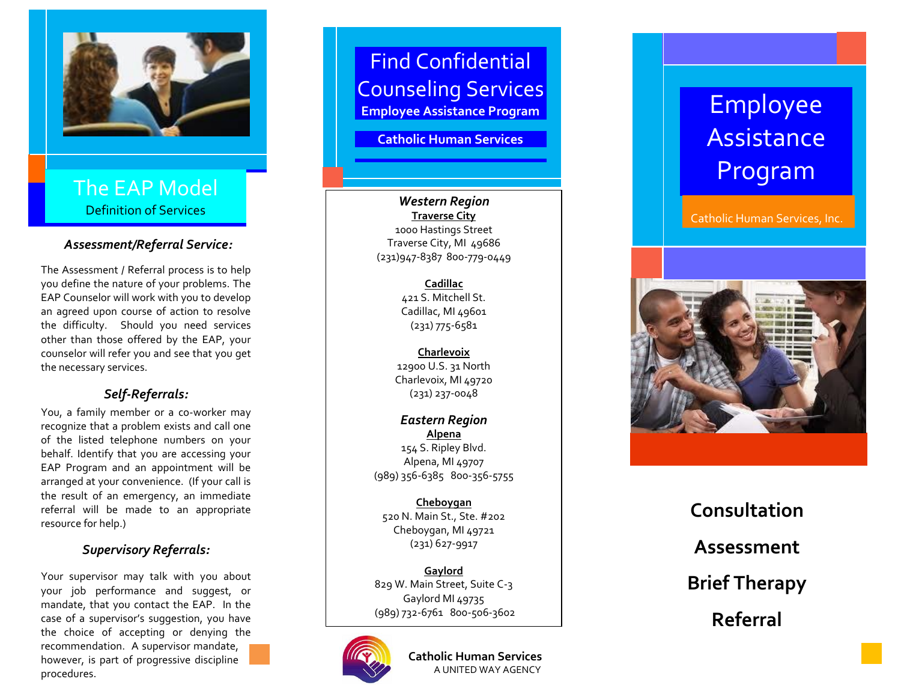

The EAP Model Definition of Services

#### *Assessment/Referral Service :*

The Assessment / Referral process is to help you define the nature of your problems. The EAP Counselor will work with you to develop an agreed upon course of action to resolve the difficulty. Should you need services other than those offered by the EAP, your counselor will refer you and see that you get the necessary services.

## *Self-Referrals:*

You, a family member or a co -worker may recognize that a problem exists and call one of the listed telephone numbers on your behalf. Identify that you are accessing your EAP Program and an appointment will be arranged at your convenience. (If your call is the result of an emergency, an immediate referral will be made to an appropriate resource for help.)

## *Supervisory Referrals:*

Your supervisor may talk with you about your job performance and suggest, or mandate, that you contact the EAP. In the case of a supervisor's suggestion, you have the choice of accepting or denying the recommendation. A supervisor mandate, however, is part of progressive discipline procedures.



# Find Confidential Counseling Services **Employee Assistance Program**

**Catholic Human Services**

*Western Region* **Traverse City** 1000 Hastings Street Traverse City, MI 49686 (231)947 -8387 800 -779 -0449

> **Cadillac** 421 S. Mitchell St. Cadillac, MI 49601 (231) 775 -6581

**Charlevoix** 12900 U.S. 31 North Charlevoix, MI 49720 (231) 237 -0048

*Eastern Region* **Alpena** 154 S. Ripley Blvd. Alpena, MI 49707 (989) 356 -6385 800 -356 -5755

**Cheboygan** 520 N. Main St., Ste. #202 Cheboygan, MI 49721 (231) 627 -9917

**Gaylord** 829 W. Main Street, Suite C - 3 Gaylord MI 49735 (989) 732 -6761 800 -506 -3602



**Catholic Human Services** A UNITED WAY AGENCY

# Employee **Assistance** Program

Catholic Human Services, Inc.



**Consultation Assessment Brief Therapy Referral**